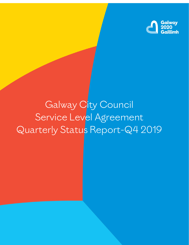

# Galway City Council Service Level Agreement Quarterly Status Report-Q4 2019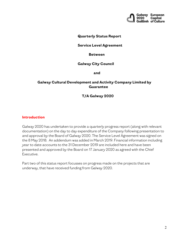

#### **Quarterly Status Report**

#### **Service Level Agreement**

#### **Between**

#### **Galway City Council**

 **and**

#### **Galway Cultural Development and Activity Company Limited by Guarantee**

#### **T/A Galway 2020**

#### **Introduction**

Galway 2020 has undertaken to provide a quarterly progress report (along with relevant documentation) on the day to day expenditure of the Company following presentation to and approval by the Board of Galway 2020. The Service Level Agreement was signed on the 8 May 2018. An addendum was added in March 2019. Financial information including year to date accounts to the 31 December 2019 are included here and have been presented and approved by the Board on 17 January 2020 as agreed with the Chief Executive.

Part two of this status report focusses on progress made on the projects that are underway, that have received funding from Galway 2020.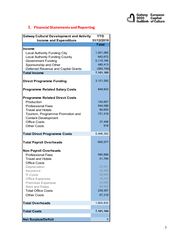

# **1. Financial Statements and Reporting**

| <b>Galway Cultural Development and Activity</b> | <b>YTD</b>   |
|-------------------------------------------------|--------------|
| <b>Income and Expenditure</b>                   | 31/12/2019   |
|                                                 | <b>Total</b> |
| Income                                          |              |
| Local Authority Funding City                    | 1,251,065    |
| <b>Local Authority Funding County</b>           | 642,672      |
| <b>Government Funding</b>                       | 5,110,185    |
| Sponsorship and Other                           | 480,413      |
| Deferred Revenue and Capital Grants             | (383, 150)   |
| <b>Total Income</b>                             | 7,101,185    |
| <b>Direct Programme Funding</b>                 | 3,121,292    |
| <b>Programme Related Salary Costs</b>           | 849,822      |
| <b>Programme Related Direct Costs</b>           |              |
| Production                                      | 140,857      |
| <b>Professional Fees</b>                        | 544,088      |
| <b>Travel and Hotels</b>                        | 80,650       |
| Tourism, Programme Promotion and                | 721,319      |
| <b>Content Development</b>                      |              |
| <b>Office Costs</b>                             | 37,406       |
| <b>Other Costs</b>                              | 918          |
| <b>Total Direct Programme Costs</b>             | 5,496,352    |
| <b>Total Payroll Overheads</b>                  | 655,577      |
| <b>Non Payroll Overheads</b>                    |              |
| <b>Professional Fees</b>                        | 590,896      |
| <b>Travel and Hotels</b>                        | 51,784       |
| <b>Office Costs</b>                             |              |
| Depreciation                                    | 22,831       |
| <b>Insurance</b>                                | 32,308       |
| <b>IT Costs</b>                                 | 60,900       |
| <b>Office Expenses</b>                          | 16,703       |
| <b>Premises Expenses</b>                        | 23,696       |
| <b>Rent and Rates</b>                           | 82,920       |
| <b>Total Office Costs</b>                       | 239,357      |
| <b>Other Costs</b>                              | 67,218       |
| <b>Total Overheads</b>                          | 1,604,832    |
|                                                 |              |
| <b>Total Costs</b>                              | 7,101,184    |
| <b>Net Surplus/Deficit</b>                      | 0            |
|                                                 |              |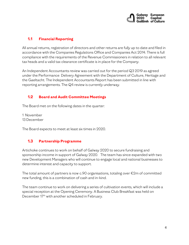

# **1.1 Financial Reporting**

All annual returns, registration of directors and other returns are fully up to date and filed in accordance with the Companies Regulations Office and Companies Act 2014. There is full compliance with the requirements of the Revenue Commissioners in relation to all relevant tax heads and a valid tax clearance certificate is in place for the Company.

An Independent Accountants review was carried out for the period Q3 2019 as agreed under the Performance Delivery Agreement with the Department of Culture, Heritage and the Gaeltacht. The Independent Accountants Report has been submitted in line with reporting arrangements. The Q4 review is currently underway.

## **1.2 Board and Audit Committee Meetings**

The Board met on the following dates in the quarter:

1 November 13 December

The Board expects to meet at least six times in 2020.

## **1.3 Partnership Programme**

Artichoke continues to work on behalf of Galway 2020 to secure fundraising and sponsorship income in support of Galway 2020. The team has since expanded with two new Development Managers who will continue to engage local and national businesses to determine interest and capacity to support.

The total amount of partners is now c.90 organisations, totaling over €2m of committed new funding, this is a combination of cash and in-kind.

The team continue to work on delivering a series of cultivation events, which will include a special reception at the Opening Ceremony. A Business Club Breakfast was held on December 17th with another scheduled in February.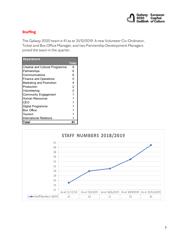

## **Staffing**

The Galway 2020 team is 41 as at 31/12/2019. A new Volunteer Co-Ordinator, Ticket and Box Office Manager, and two Partnership Development Managers joined the team in the quarter.

| <b>Department</b>               |                |
|---------------------------------|----------------|
|                                 | Total          |
| Creative and Cultural Programme | 9              |
| Partnerships                    | 6              |
| Communications                  | 6              |
| <b>Finance and Operations</b>   | 5              |
| Marketing and Promotion         | 4              |
| Production                      | $\overline{2}$ |
| Volunteering                    | $\overline{2}$ |
| <b>Community Engagement</b>     |                |
| <b>Human Resources</b>          |                |
| CEO                             |                |
| Digital Programme               |                |
| <b>Box Office</b>               |                |
| Tourism                         |                |
| International Relations         |                |
| Total                           | 41             |

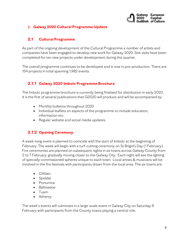

### **2. Galway 2020 Cultural Programme Update**

### **2.1 Cultural Programme**

As part of the ongoing development of the Cultural Programme a number of artists and companies have been engaged to develop new work for Galway 2020. Site visits have been completed for ten new projects under development during this quarter.

The overall programme continues to be developed and is now in pre-production. There are 154 projects in total spanning 1,982 events.

## **2.1.1 Galway 2020 Imbolc Programme Brochure**

The Imbolc programme brochure is currently being finalised for distribution in early 2020. It is the first of several publications that G2020 will produce and will be accompanied by:

- Monthly bulletins throughout 2020
- Individual leaflets on aspects of the programme to include education, information etc
- Regular website and social media updates

## **2.1.2 Opening Ceremony**

A week-long event is planned to coincide with the start of Imbolc at the beginning of February. The week will begin with a turf-cutting ceremony on St Brigid's Day (1 February) Fire ceremonies are planned on subsequent nights in six towns across Galway County from 2 to 7 February, gradually moving closer to the Galway City. Each night will see the lighting of specially commissioned spheres unique to each town. Local artists & musicians will be involved in the fire festivals with participants drawn from the local area. The six towns are:

- Clifden
- Spiddal
- Portumna
- Ballinasloe
- Tuam
- Athenry

The week's events will culminate in a large-scale event in Galway City on Saturday 8 February with participants from the County towns playing a central role.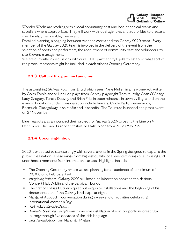

Wonder Works are working with a local community cast and local technical teams and suppliers where appropriate. They will work with local agencies and authorities to create a spectacular, memorable, free event.

Detailed planning is ongoing between Wonder Works and the Galway 2020 team. Every member of the Galway 2020 team is involved in the delivery of the event from the selection of poets and performers, the recruitment of community cast and volunteers, to site & event management.

We are currently in discussions with our ECOC partner city Rijeka to establish what sort of reciprocal moments might be included in each other's Opening Ceremony

## **2.1.3 Cultural Programme Launches**

The astonishing *Galway Tour* from Druid which sees Marie Mullen in a new one-act written by Colm Tóibín and will include plays from Galway playwright Tom Murphy, Sean O'Casey, Lady Gregory, Teresa Deevey and Brian Friel in open rehearsal in towns, villages and on the islands. Locations under consideration include Kinvara, Coole Park, Glenamaddy, Rosmuck, Claregalway Inish Meáin and Inishbofin. The Tour was launched at a press event on 27 November.

Blue Teapots also announced their project for Galway 2020-Crossing the Line on 4 December. The pan- European festival will take place from 20-23 May 202

# **2.1.4 Upcoming-Imbolc**

2020 is expected to start strongly with several events in the Spring designed to capture the public imagination. These range from highest quality local events through to surprising and unorthodox moments from international artists. Highlights include:

- The Opening Ceremony where we are planning for an audience of a minimum of 28,000 on 8 February itself
- Imagining Ireland –Galway 2020 will host a collaboration between the National Concert Hall, Dublin and the Barbican, London
- The first of Tobias Hutzler's quiet but exquisite installations and the beginning of his documentation of the Galway landscape at night.
- Margaret Atwood in conversation during a weekend of activities celebrating International Women's Day
- Kari Kola's Savage Beauty
- Branar's *Sruth na Teanga* an immersive installation of epic proportions creating a journey through five decades of the Irish language
- *Sea Tamagotchi* from Manchán Magan.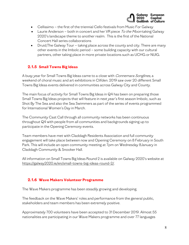

- Cellissimo the first of the triennial Cello festivals from Music For Galway
- Laurie Anderson both in concert and her VR piece To the Moon taking Galway 2020's landscape theme to another realm. This is the first of the National Concert Hall series collaborations
- Druid; The Galway Tour taking place across the county and city. There are many other events in the Imbolc period – some building capacity with our cultural partners, other taking place in more private locations such as UCHG or NUIG.

# **2.1.5 Small Towns Big Ideas**

A busy year for Small Towns Big Ideas came to a close with *Connemara Songlines*, a weekend of choral music and art exhibitions in Clifden. 2019 saw over 20 different Small Towns Big Ideas events delivered in communities across Galway City and County.

The main focus of activity for Small Towns Big Ideas in Q4 has been on preparing those Small Towns Big Ideas projects that will feature in next year's first season Imbolc, such as Shot By The Sea and also the Sea Swimmers as part of the series of events programmed for International Women's Day in March.

The Community Cast Call through all community networks has been continuous throughout Q4 with people from all communities and backgrounds signing up to participate in the Opening Ceremony events.

Team members have met with Claddagh Residents Association and full community engagement will take place between now and Opening Ceremony on 8 February in South Park. This will include an open community meeting at 7pm on Wednesday 8January in Claddagh Community & Snooker Hall.

All information on Small Towns Big Ideas Round 2 is available on Galway 2020's website at [https://galway2020.ie/en/small-towns-big-ideas-round-2/.](https://galway2020.ie/en/small-towns-big-ideas-round-2/) 

## **2.1.6 Wave Makers Volunteer Programme**

The Wave Makers programme has been steadily growing and developing.

The feedback on the Wave Makers' roles and performance from the general public, stakeholders and team members has been extremely positive.

Approximately 700 volunteers have been accepted to 31 December 2019. Almost 55 nationalities are participating in our Wave Makers programme and over 77 languages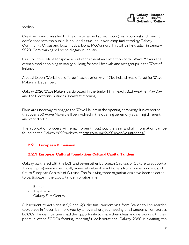

spoken.

Creative Training was held in the quarter aimed at promoting team building and gaining confidence with the public. It included a two- hour workshop facilitated by Galway Community Circus and local musical Donal McConnon. This will be held again in January 2020. Core training will be held again in January.

Our Volunteer Manager spoke about recruitment and retention of the Wave Makers at an event aimed at helping capacity building for small festivals and arts groups in the West of Ireland.

A Local Expert Workshop, offered in association with Fáilte Ireland, was offered for Wave Makers in December.

Galway 2020 Wave Makers participated in the Junior Film Fleadh, Bad Weather Play Day and the Medtronic Business Breakfast morning

Plans are underway to engage the Wave Makers in the opening ceremony. It is expected that over 300 Wave Makers will be involved in the opening ceremony spanning different and varied roles.

The application process will remain open throughout the year and all information can be found on the Galway 2020 website a[t https://galway2020.ie/en/volunteering/.](https://galway2020.ie/en/volunteering/) 

# **2.2 European Dimension**

## **2.2.1 European Cultural Foundation[s Cultural Capital Tandem](https://galway2020.ie/en/news/galway-takes-part-in-tandem-cultural-capitals-programme/)**

Galway partnered with the ECF and seven other European Capitals of Culture to support a Tandem programme specifically aimed at cultural practitioners from former, current and future European Capitals of Culture. The following three organisations have been selected to participate in the ECoC tandem programme:

- Branar
- Theatre 57
- Galway Film Centre

Subsequent to activities in Q2 and Q3, the final tandem visit from Branar to Leeuwarden took place in November, followed by an overall project meeting of all tandems from across ECOCs. Tandem partners had the opportunity to share their ideas and networks with their peers in other ECOCs forming meaningful collaborations. Galway 2020 is awaiting the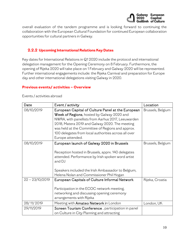

overall evaluation of the tandem programme and is looking forward to continuing the collaboration with the European Cultural Foundation for continued European collaboration opportunities for cultural partners in Galway.

## **2.2.2 Upcoming International Relations Key Dates**

Key dates for International Relations in Q1 2020 include the protocol and international delegation management for the Opening Ceremony on 8 February. Furthermore, the opening of Rijeka 2020 will take place on 1 February and Galway 2020 will be represented. Further international engagements include: the Rijeka Carnival and preparation for Europe day and other international delegations visiting Galway in 2020.

#### **Previous events/ activities – Overview**

| Date              | Event / activity                                                                                                                                                                                                                                                                                                                        | Location          |
|-------------------|-----------------------------------------------------------------------------------------------------------------------------------------------------------------------------------------------------------------------------------------------------------------------------------------------------------------------------------------|-------------------|
| 08/10/2019        | European Capital of Culture Panel at the European<br>Week of Regions, hosted by Galway 2020 and<br>NWRA, with panellists from Aarhus 2017, Leeuwarden<br>2018, Matera 2019 and Galway 2020. The meeting<br>was held at the Committee of Regions and approx.<br>100 delegates from local authorities across all over<br>Europe attended. | Brussels, Belgium |
| 08/10/2019        | European launch of Galway 2020 in Brussels<br>Reception hosted in Brussels, apprx. 140 delegates<br>attended. Performance by Irish spoken word artist<br>and DJ<br>Speakers included the Irish Ambassador to Belgium,<br>Helena Nolan and Commissioner Phil Hogan                                                                       | Brussels, Belgium |
| $22 - 23/10/2019$ | European Capitals of Culture Informal Network<br>Participation in the ECOC network meeting,<br>networking and discussing opening ceremony<br>arrangements with Rijeka                                                                                                                                                                   | Rijeka, Croatia   |
| 28/11/2019        | Meeting with Amateo Network in London                                                                                                                                                                                                                                                                                                   | London, UK        |
| 29/11/2019        | Screen Tourism Conference, participation in panel<br>on Culture in City Planning and attracting                                                                                                                                                                                                                                         |                   |

Events / activities abroad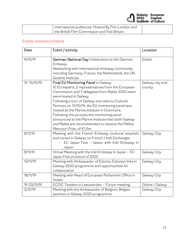

| international audiences. Hosted By Film London and |  |
|----------------------------------------------------|--|
| Lthe British Film Commission and Visit Britain.    |  |

#### Events/ activities in Ireland

| Date        | Event / activity                                                                                                                                                                                                                                                                                                                                                                                                                                                                                                                                   | Location        |
|-------------|----------------------------------------------------------------------------------------------------------------------------------------------------------------------------------------------------------------------------------------------------------------------------------------------------------------------------------------------------------------------------------------------------------------------------------------------------------------------------------------------------------------------------------------------------|-----------------|
| 4/10/19     | German National Day Celebration at the German<br>Embassy.<br>Networking with international embassy community<br>including Germany, France, the Netherlands, the UK,<br>Goethe Institute                                                                                                                                                                                                                                                                                                                                                            | Dublin          |
| 14-15/10/19 | Final EU Monitoring Panel in Galway<br>Galway city and<br>10 EU experts, 2 representatives from the European<br>county<br>Commission and 7 delegates from Rijeka 2020 team<br>were hosted in Galway.<br>Following a tour of Galway and visits to Cultural<br>Partners on 14/10/19, the EU monitoring panel was<br>hosted at the Marine Institute in Oranmore.<br>Following this process the monitoring panel<br>announced at the Marine Institute that both Galway<br>and Rijeka are recommended to receive the Melina<br>Mercouri Prize. of €1.5m |                 |
| 8/11/19     | Meeting with the French Embassy (cultural attaché)<br>and consul in Galway on French / Irish Exchanges<br>EU Japan Fest - liaison with Irish Embassy in<br>Japan                                                                                                                                                                                                                                                                                                                                                                                   | Galway City     |
| 8/11/19     | Virtual Meeting with the Irish Embassy In Japan - EU<br>Japan Fest protocol of 2020                                                                                                                                                                                                                                                                                                                                                                                                                                                                | Galway City     |
| 13/11/19    | Meeting with Ambassador of Estonia, Estonian links in<br>Galway City<br>Galway 2020 programme and opportunities for<br>collaboration                                                                                                                                                                                                                                                                                                                                                                                                               |                 |
| 18/11/19    | Meeting with Head of European Parliament Office in<br>Galway City<br>Dublin                                                                                                                                                                                                                                                                                                                                                                                                                                                                        |                 |
| 19-22/11/19 | ECOC Tandem in Leeuwarden - Forum meeting                                                                                                                                                                                                                                                                                                                                                                                                                                                                                                          | Online / Galway |
| 3/12/19     | Meeting with the Ambassador of Belgium, Belgian<br>partners in Galway 2020 programme                                                                                                                                                                                                                                                                                                                                                                                                                                                               | Galway City     |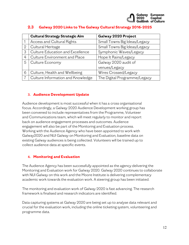|                | <b>Cultural Strategy Strategic Aim</b> | Galway 2020 Project          |
|----------------|----------------------------------------|------------------------------|
|                | Access and Cultural Rights             | Small Towns Big Ideas/Legacy |
| $\overline{2}$ | Cultural Heritage                      | Small Towns Big Ideas/Legacy |
| 3              | Culture Education and Excellence       | Symphonic Waves/Legacy       |
| 4              | Culture Environment and Place          | Hope It Rains/Legacy         |
| 5              | Culture Economy                        | Galway 2020 audit of         |
|                |                                        | venues/Legacy                |
| 6              | Culture, Health and Wellbeing          | Wires Crossed/Legacy         |
|                | Culture Information and Knowledge      | The Digital Programme/Legacy |

# **2.3 Galway 2020 Links to The Galway Cultural Strategy 2016-2025**

### **3. Audience Development Update**

Audience development is most successful when it has a cross organisational focus. Accordingly, a Galway 2020 Audience Development working group has been convened to include representatives from the Programme, Volunteer and Communications team, which will meet regularly to monitor and report back on audience engagement processes and outcomes. Audience engagement will also be part of the Monitoring and Evaluation process. Working with the Audience Agency who have been appointed to work with Galway2020 and NUI Galway on Monitoring and Evaluation, baseline data on existing Galway audiences is being collected. Volunteers will be trained up to collect audience data at specific events.

#### **4. Monitoring and Evaluation**

The Audience Agency has been successfully appointed as the agency delivering the Monitoring and Evaluation work for Galway 2020. Galway 2020 continues to collaborate with NUI Galway on this work and the Moore Institute is delivering complementary academic work towards the evaluation work. A steering group has been initiated.

The monitoring and evaluation work of Galway 2020 is fast advancing. The research framework is finalised and research indicators are identified.

Data capturing systems at Galway 2020 are being set up to analyse data relevant and crucial for the evaluation work, including the online ticketing system, volunteering and programme data.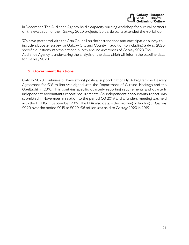

In December, The Audience Agency held a capacity building workshop for cultural partners on the evaluation of their Galway 2020 projects. 25 participants attended the workshop.

We have partnered with the Arts Council on their attendance and participation survey to include a booster survey for Galway City and County in addition to including Galway 2020 specific questions into the national survey around awareness of Galway 2020.The Audience Agency is undertaking the analysis of the data which will inform the baseline data for Galway 2020.

### **5. Government Relations**

Galway 2020 continues to have strong political support nationally. A Programme Delivery Agreement for €15 million was signed with the Department of Culture, Heritage and the Gaeltacht in 2018. This contains specific quarterly reporting requirements and quarterly independent accountants report requirements. An independent accountants report was submitted in November in relation to the period Q3 2019 and a funders meeting was held with the DCHG in September 2019. The PDA also details the profiling of funding to Galway 2020 over the period 2018 to 2020. €6 million was paid to Galway 2020 in 2019